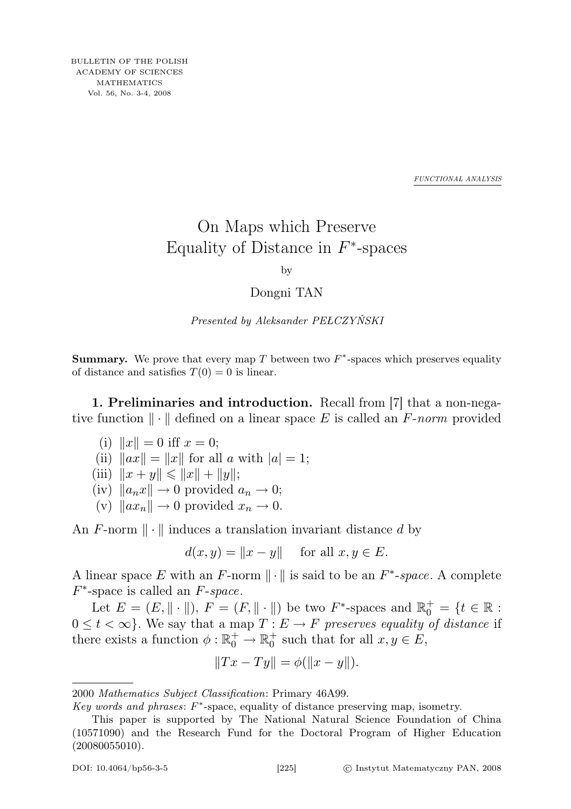*FUNCTIONAL ANALYSIS*

## On Maps which Preserve Equality of Distance in  $F^*$ -spaces

by

## Dongni TAN

Presented by Aleksander PEŁCZYŃSKI

**Summary.** We prove that every map  $T$  between two  $F^*$ -spaces which preserves equality of distance and satisfies  $T(0) = 0$  is linear.

1. Preliminaries and introduction. Recall from [7] that a non-negative function  $\|\cdot\|$  defined on a linear space E is called an F-norm provided

(i) 
$$
||x|| = 0
$$
 iff  $x = 0$ ;

- (ii)  $\|\hat{ax}\| = \|x\|$  for all a with  $|a| = 1$ ;
- (iii)  $||x + y|| \le ||x|| + ||y||;$
- (iv)  $\|a_n x\| \to 0$  provided  $a_n \to 0$ ;
- (v)  $\|ax_n\| \to 0$  provided  $x_n \to 0$ .

An F-norm  $\|\cdot\|$  induces a translation invariant distance d by

$$
d(x, y) = ||x - y|| \quad \text{for all } x, y \in E.
$$

A linear space E with an F-norm  $\|\cdot\|$  is said to be an  $F^*$ -space. A complete  $F^*$ -space is called an  $F$ -space.

Let  $E = (E, \|\cdot\|), F = (F, \|\cdot\|)$  be two  $F^*$ -spaces and  $\mathbb{R}_0^+ = \{t \in \mathbb{R} :$  $0 \leq t < \infty$ . We say that a map  $T : E \to F$  preserves equality of distance if there exists a function  $\phi : \mathbb{R}_0^+ \to \mathbb{R}_0^+$  such that for all  $x, y \in E$ ,

$$
||Tx - Ty|| = \phi(||x - y||).
$$

2000 Mathematics Subject Classification: Primary 46A99.

Key words and phrases:  $F^*$ -space, equality of distance preserving map, isometry.

This paper is supported by The National Natural Science Foundation of China (10571090) and the Research Fund for the Doctoral Program of Higher Education (20080055010).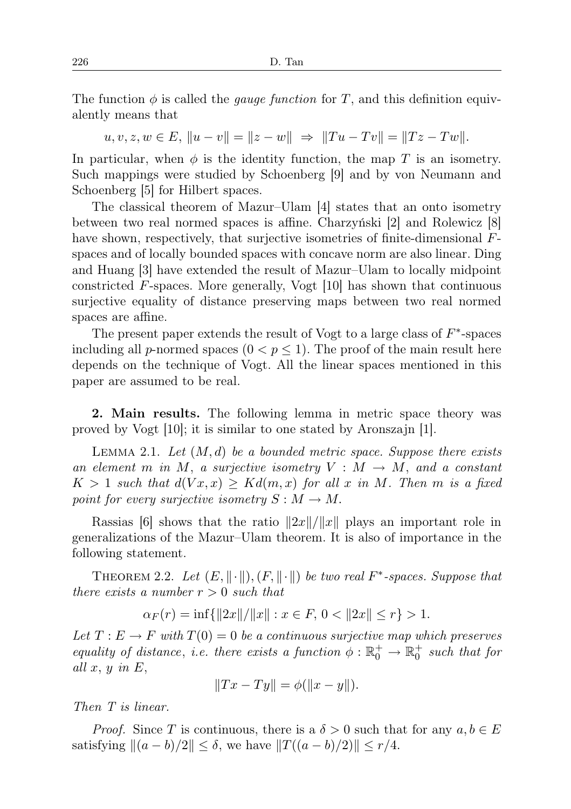The function  $\phi$  is called the *gauge function* for T, and this definition equivalently means that

 $u, v, z, w \in E, ||u - v|| = ||z - w|| \Rightarrow ||Tu - Tv|| = ||Tz - Tw||.$ 

In particular, when  $\phi$  is the identity function, the map T is an isometry. Such mappings were studied by Schoenberg [9] and by von Neumann and Schoenberg [5] for Hilbert spaces.

The classical theorem of Mazur–Ulam [4] states that an onto isometry between two real normed spaces is affine. Charzyński [2] and Rolewicz [8] have shown, respectively, that surjective isometries of finite-dimensional Fspaces and of locally bounded spaces with concave norm are also linear. Ding and Huang [3] have extended the result of Mazur–Ulam to locally midpoint constricted F-spaces. More generally, Vogt [10] has shown that continuous surjective equality of distance preserving maps between two real normed spaces are affine.

The present paper extends the result of Vogt to a large class of  $F^*$ -spaces including all p-normed spaces  $(0 < p \leq 1)$ . The proof of the main result here depends on the technique of Vogt. All the linear spaces mentioned in this paper are assumed to be real.

2. Main results. The following lemma in metric space theory was proved by Vogt [10]; it is similar to one stated by Aronszajn [1].

LEMMA 2.1. Let  $(M, d)$  be a bounded metric space. Suppose there exists an element m in M, a surjective isometry  $V : M \to M$ , and a constant  $K > 1$  such that  $d(Vx, x) \geq Kd(m, x)$  for all x in M. Then m is a fixed point for every surjective isometry  $S : M \to M$ .

Rassias [6] shows that the ratio  $||2x||/||x||$  plays an important role in generalizations of the Mazur–Ulam theorem. It is also of importance in the following statement.

THEOREM 2.2. Let  $(E, \|\cdot\|), (F, \|\cdot\|)$  be two real  $F^*$ -spaces. Suppose that there exists a number  $r > 0$  such that

$$
\alpha_F(r) = \inf\{\|2x\|/\|x\| : x \in F, \ 0 < \|2x\| \le r\} > 1.
$$

Let  $T: E \to F$  with  $T(0) = 0$  be a continuous surjective map which preserves equality of distance, i.e. there exists a function  $\phi : \mathbb{R}_0^+ \to \mathbb{R}_0^+$  such that for all  $x, y$  in  $E$ ,

$$
||Tx - Ty|| = \phi(||x - y||).
$$

Then T is linear.

*Proof.* Since T is continuous, there is a  $\delta > 0$  such that for any  $a, b \in E$ satisfying  $||(a - b)/2|| \le \delta$ , we have  $||T((a - b)/2)|| \le r/4$ .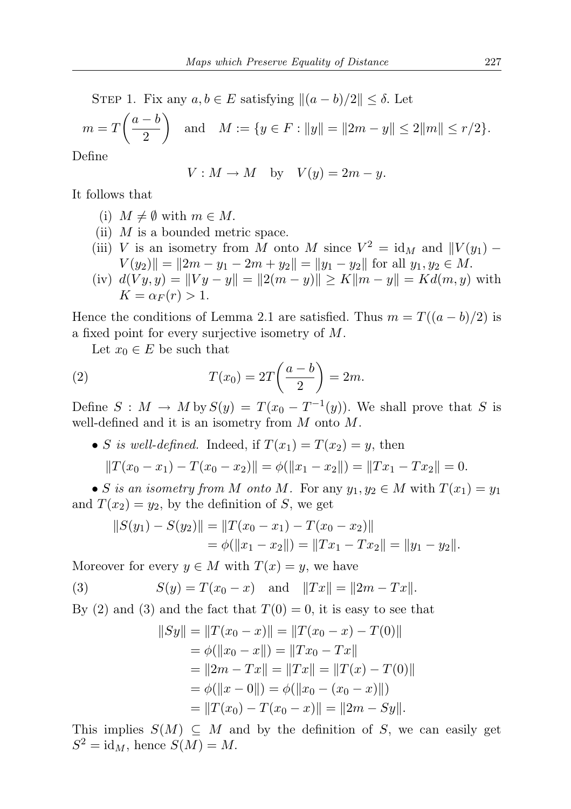STEP 1. Fix any  $a, b \in E$  satisfying  $\|(a - b)/2\| \leq \delta$ . Let

$$
m = T\left(\frac{a-b}{2}\right)
$$
 and  $M := \{y \in F : ||y|| = ||2m - y|| \le 2||m|| \le r/2\}.$ 

Define

$$
V: M \to M \quad \text{by} \quad V(y) = 2m - y.
$$

It follows that

- (i)  $M \neq \emptyset$  with  $m \in M$ .
- (ii)  $M$  is a bounded metric space.
- (iii) V is an isometry from M onto M since  $V^2 = id_M$  and  $||V(y_1) V(y_2)\| = \|2m - y_1 - 2m + y_2\| = \|y_1 - y_2\|$  for all  $y_1, y_2 \in M$ .
- (iv)  $d(V y, y) = ||V y y|| = ||2(m y)|| \ge K||m y|| = Kd(m, y)$  with  $K = \alpha_F(r) > 1.$

Hence the conditions of Lemma 2.1 are satisfied. Thus  $m = T((a - b)/2)$  is a fixed point for every surjective isometry of M.

Let  $x_0 \in E$  be such that

(2) 
$$
T(x_0) = 2T\left(\frac{a-b}{2}\right) = 2m.
$$

Define  $S: M \to M$  by  $S(y) = T(x_0 - T^{-1}(y))$ . We shall prove that S is well-defined and it is an isometry from M onto M.

• S is well-defined. Indeed, if  $T(x_1) = T(x_2) = y$ , then  $||T(x_0 - x_1) - T(x_0 - x_2)|| = \phi(||x_1 - x_2||) = ||Tx_1 - Tx_2|| = 0.$ 

• S is an isometry from M onto M. For any  $y_1, y_2 \in M$  with  $T(x_1) = y_1$ and  $T(x_2) = y_2$ , by the definition of S, we get

$$
||S(y_1) - S(y_2)|| = ||T(x_0 - x_1) - T(x_0 - x_2)||
$$
  
=  $\phi(||x_1 - x_2||) = ||Tx_1 - Tx_2|| = ||y_1 - y_2||.$ 

Moreover for every  $y \in M$  with  $T(x) = y$ , we have

(3) 
$$
S(y) = T(x_0 - x)
$$
 and  $||Tx|| = ||2m - Tx||$ .

By (2) and (3) and the fact that  $T(0) = 0$ , it is easy to see that

$$
||Sy|| = ||T(x_0 - x)|| = ||T(x_0 - x) - T(0)||
$$
  
=  $\phi(||x_0 - x||) = ||Tx_0 - Tx||$   
=  $||2m - Tx|| = ||Tx|| = ||T(x) - T(0)||$   
=  $\phi(||x - 0||) = \phi(||x_0 - (x_0 - x)||)$   
=  $||T(x_0) - T(x_0 - x)|| = ||2m - Sy||.$ 

This implies  $S(M) \subseteq M$  and by the definition of S, we can easily get  $S^2 = id_M$ , hence  $S(M) = M$ .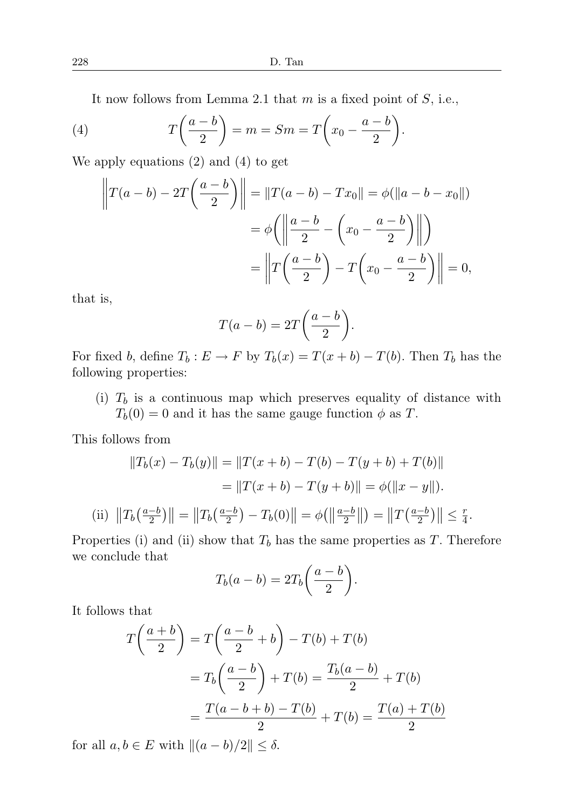It now follows from Lemma 2.1 that  $m$  is a fixed point of  $S$ , i.e.,

(4) 
$$
T\left(\frac{a-b}{2}\right) = m = Sm = T\left(x_0 - \frac{a-b}{2}\right).
$$

We apply equations (2) and (4) to get

$$
\left\|T(a-b) - 2T\left(\frac{a-b}{2}\right)\right\| = \left\|T(a-b) - Tx_0\right\| = \phi(\left\|a-b - x_0\right\|)
$$

$$
= \phi\left(\left\|\frac{a-b}{2} - \left(x_0 - \frac{a-b}{2}\right)\right\|\right)
$$

$$
= \left\|T\left(\frac{a-b}{2}\right) - T\left(x_0 - \frac{a-b}{2}\right)\right\| = 0,
$$

that is,

$$
T(a-b) = 2T\bigg(\frac{a-b}{2}\bigg).
$$

For fixed b, define  $T_b : E \to F$  by  $T_b(x) = T(x + b) - T(b)$ . Then  $T_b$  has the following properties:

(i)  $T_b$  is a continuous map which preserves equality of distance with  $T_b(0) = 0$  and it has the same gauge function  $\phi$  as T.

This follows from

$$
||T_b(x) - T_b(y)|| = ||T(x + b) - T(b) - T(y + b) + T(b)||
$$
  

$$
= ||T(x + b) - T(y + b)|| = \phi(||x - y||).
$$
  
(ii) 
$$
||T_b(\frac{a-b}{2})|| = ||T_b(\frac{a-b}{2}) - T_b(0)|| = \phi(||\frac{a-b}{2}||) = ||T(\frac{a-b}{2})|| \le \frac{r}{4}
$$

.

Properties (i) and (ii) show that  $T<sub>b</sub>$  has the same properties as T. Therefore we conclude that

$$
T_b(a-b) = 2T_b\bigg(\frac{a-b}{2}\bigg).
$$

It follows that

$$
T\left(\frac{a+b}{2}\right) = T\left(\frac{a-b}{2} + b\right) - T(b) + T(b)
$$

$$
= T_b\left(\frac{a-b}{2}\right) + T(b) = \frac{T_b(a-b)}{2} + T(b)
$$

$$
= \frac{T(a-b+b) - T(b)}{2} + T(b) = \frac{T(a) + T(b)}{2}
$$

for all  $a, b \in E$  with  $\|(a - b)/2\| \leq \delta$ .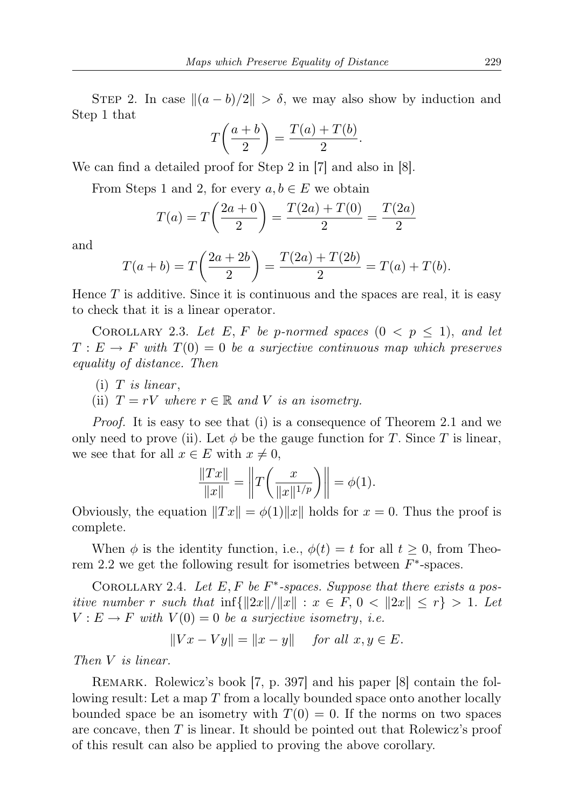STEP 2. In case  $\|(a - b)/2\| > \delta$ , we may also show by induction and Step 1 that

$$
T\left(\frac{a+b}{2}\right) = \frac{T(a) + T(b)}{2}.
$$

We can find a detailed proof for Step 2 in [7] and also in [8].

From Steps 1 and 2, for every  $a, b \in E$  we obtain

$$
T(a) = T\left(\frac{2a+0}{2}\right) = \frac{T(2a) + T(0)}{2} = \frac{T(2a)}{2}
$$

and

$$
T(a+b) = T\left(\frac{2a+2b}{2}\right) = \frac{T(2a) + T(2b)}{2} = T(a) + T(b).
$$

Hence  $T$  is additive. Since it is continuous and the spaces are real, it is easy to check that it is a linear operator.

COROLLARY 2.3. Let E, F be p-normed spaces  $(0 \lt p \leq 1)$ , and let  $T: E \to F$  with  $T(0) = 0$  be a surjective continuous map which preserves equality of distance. Then

- $(i)$  T is linear,
- (ii)  $T = rV$  where  $r \in \mathbb{R}$  and V is an isometry.

Proof. It is easy to see that (i) is a consequence of Theorem 2.1 and we only need to prove (ii). Let  $\phi$  be the gauge function for T. Since T is linear, we see that for all  $x \in E$  with  $x \neq 0$ ,

$$
\frac{\|Tx\|}{\|x\|} = \left\|T\left(\frac{x}{\|x\|^{1/p}}\right)\right\| = \phi(1).
$$

Obviously, the equation  $||Tx|| = \phi(1)||x||$  holds for  $x = 0$ . Thus the proof is complete.

When  $\phi$  is the identity function, i.e.,  $\phi(t) = t$  for all  $t \geq 0$ , from Theorem 2.2 we get the following result for isometries between  $F^*$ -spaces.

COROLLARY 2.4. Let  $E, F$  be  $F^*$ -spaces. Suppose that there exists a positive number r such that  $\inf\{\Vert 2x\Vert/\Vert x\Vert : x \in F, 0 < \Vert 2x\Vert \leq r\} > 1$ . Let  $V: E \to F$  with  $V(0) = 0$  be a surjective isometry, i.e.

$$
||Vx - Vy|| = ||x - y|| \quad \text{for all } x, y \in E.
$$

Then V is linear.

Remark. Rolewicz's book [7, p. 397] and his paper [8] contain the following result: Let a map T from a locally bounded space onto another locally bounded space be an isometry with  $T(0) = 0$ . If the norms on two spaces are concave, then T is linear. It should be pointed out that Rolewicz's proof of this result can also be applied to proving the above corollary.